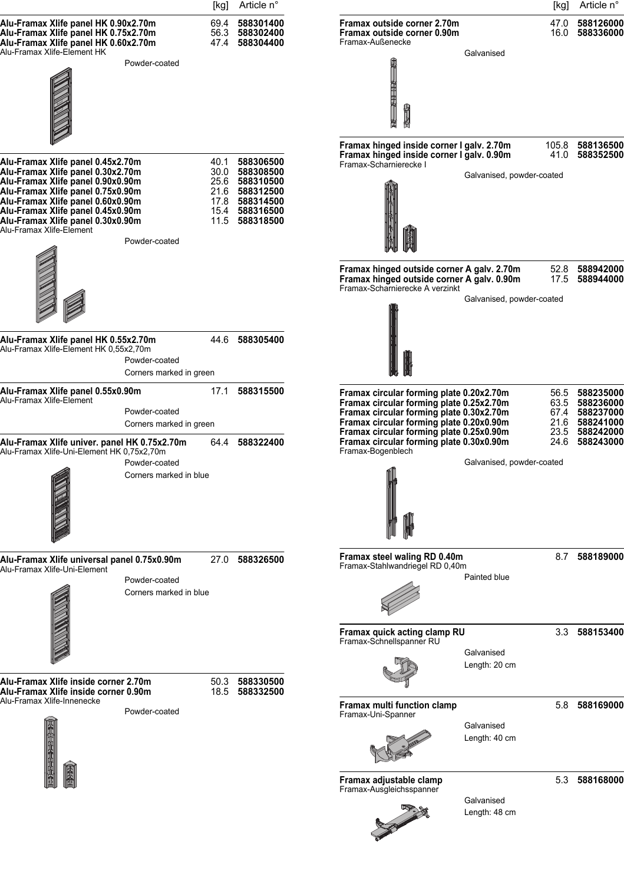|                                                                                                                                                                                                                                                                                             |                                          | [kg] | Article n°                                                                                                                 |                                                                                                                                                                                                                          |                             | [kg]                 | Article n°                                                              |
|---------------------------------------------------------------------------------------------------------------------------------------------------------------------------------------------------------------------------------------------------------------------------------------------|------------------------------------------|------|----------------------------------------------------------------------------------------------------------------------------|--------------------------------------------------------------------------------------------------------------------------------------------------------------------------------------------------------------------------|-----------------------------|----------------------|-------------------------------------------------------------------------|
| Alu-Framax Xlife panel HK 0.90x2.70m<br>Alu-Framax Xlife panel HK 0.75x2.70m<br>Alu-Framax Xlife panel HK 0.60x2.70m                                                                                                                                                                        |                                          |      | 69.4 588301400<br>56.3 588302400<br>47.4 588304400                                                                         | Framax outside corner 2.70m<br>Framax outside corner 0.90m<br>Framax-Außenecke                                                                                                                                           |                             | 47.0                 | 588126000<br>16.0 588336000                                             |
| Alu-Framax Xlife-Element HK                                                                                                                                                                                                                                                                 | Powder-coated                            |      |                                                                                                                            | 非中国地<br>电子                                                                                                                                                                                                               | Galvanised                  |                      |                                                                         |
| Alu-Framax Xlife panel 0.45x2.70m<br>Alu-Framax Xlife panel 0.30x2.70m<br>Alu-Framax Xlife panel 0.90x0.90m<br>Alu-Framax Xlife panel 0.75x0.90m<br>Alu-Framax Xlife panel 0.60x0.90m<br>Alu-Framax Xlife panel 0.45x0.90m<br>Alu-Framax Xlife panel 0.30x0.90m<br>Alu-Framax Xlife-Element | Powder-coated                            |      | 40.1 588306500<br>30.0 588308500<br>25.6 588310500<br>21.6 588312500<br>17.8 588314500<br>15.4 588316500<br>11.5 588318500 | Framax hinged inside corner I galv. 2.70m<br>Framax hinged inside corner I galv. 0.90m<br>Framax-Scharnierecke I                                                                                                         | Galvanised, powder-coated   | 105.8<br>41.0        | 588136500<br>588352500                                                  |
|                                                                                                                                                                                                                                                                                             |                                          |      |                                                                                                                            | Framax hinged outside corner A galv. 2.70m<br>Framax hinged outside corner A galv. 0.90m<br>Framax-Scharnierecke A verzinkt                                                                                              | Galvanised, powder-coated   | 52.8<br>17.5         | 588942000<br>588944000                                                  |
| Alu-Framax Xlife panel HK 0.55x2.70m<br>Alu-Framax Xlife-Element HK 0,55x2,70m                                                                                                                                                                                                              | Powder-coated<br>Corners marked in green |      | 44.6 588305400                                                                                                             |                                                                                                                                                                                                                          |                             |                      |                                                                         |
| Alu-Framax Xlife panel 0.55x0.90m<br>Alu-Framax Xlife-Element                                                                                                                                                                                                                               | Powder-coated<br>Corners marked in green | 17.1 | 588315500                                                                                                                  | Framax circular forming plate 0.20x2.70m<br>Framax circular forming plate 0.25x2.70m<br>Framax circular forming plate 0.30x2.70m<br>Framax circular forming plate 0.20x0.90m<br>Framax circular forming plate 0.25x0.90m |                             | 56.5<br>21.6<br>23.5 | 588235000<br>63.5 588236000<br>67.4 588237000<br>588241000<br>588242000 |
| Alu-Framax Xlife univer. panel HK 0.75x2.70m<br>Alu-Framax Xlife-Uni-Element HK 0,75x2,70m                                                                                                                                                                                                  | Powder-coated<br>Corners marked in blue  | 64.4 | 588322400                                                                                                                  | Framax circular forming plate 0.30x0.90m<br>Framax-Bogenblech                                                                                                                                                            | Galvanised, powder-coated   | 24.6                 | 588243000                                                               |
| Alu-Framax Xlife universal panel 0.75x0.90m<br>Alu-Framax Xlife-Uni-Element                                                                                                                                                                                                                 | Powder-coated<br>Corners marked in blue  | 27.0 | 588326500                                                                                                                  | Framax steel waling RD 0.40m<br>Framax-Stahlwandriegel RD 0,40m                                                                                                                                                          | Painted blue                |                      | 8.7 588189000                                                           |
| Alu-Framax Xlife inside corner 2.70m                                                                                                                                                                                                                                                        |                                          |      | 50.3 588330500                                                                                                             | Framax quick acting clamp RU<br>Framax-Schnellspanner RU                                                                                                                                                                 | Galvanised<br>Length: 20 cm |                      | 3.3 588153400                                                           |
| Alu-Framax Xlife inside corner 0.90m<br>Alu-Framax Xlife-Innenecke                                                                                                                                                                                                                          | Powder-coated                            |      | 18.5 588332500                                                                                                             | Framax multi function clamp<br>Framax-Uni-Spanner                                                                                                                                                                        | Galvanised<br>Length: 40 cm |                      | 5.8 588169000                                                           |
|                                                                                                                                                                                                                                                                                             |                                          |      |                                                                                                                            | Framax adjustable clamp<br>Framax-Ausgleichsspanner                                                                                                                                                                      | Galvanised<br>Length: 48 cm |                      | 5.3 588168000                                                           |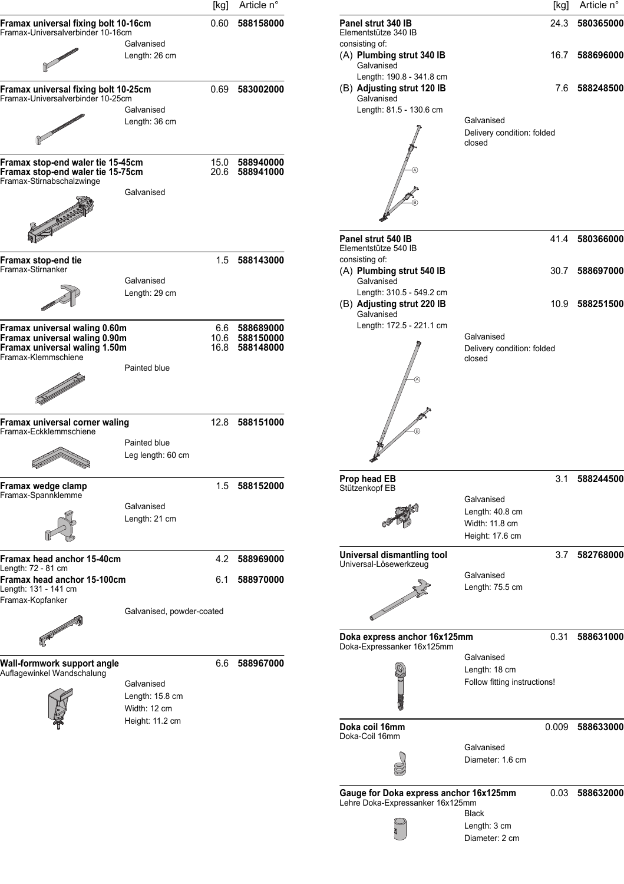|                                                                                                     |                                   | [kg] | Article n°                       |                                              |
|-----------------------------------------------------------------------------------------------------|-----------------------------------|------|----------------------------------|----------------------------------------------|
| Framax universal fixing bolt 10-16cm<br>Framax-Universalverbinder 10-16cm                           |                                   | 0.60 | 588158000                        | Panel strut 34<br>Elementstütze :            |
|                                                                                                     | Galvanised<br>Length: 26 cm       |      |                                  | consisting of:<br>(A) Plumbing<br>Galvanised |
| Framax universal fixing bolt 10-25cm                                                                |                                   | 0.69 | 583002000                        | Length: 19<br>(B) Adjusting                  |
| Framax-Universalverbinder 10-25cm                                                                   | Galvanised                        |      |                                  | Galvanised<br>Length: 81                     |
|                                                                                                     | Length: 36 cm                     |      |                                  |                                              |
|                                                                                                     |                                   |      |                                  |                                              |
| Framax stop-end waler tie 15-45cm<br>Framax stop-end waler tie 15-75cm<br>Framax-Stirnabschalzwinge |                                   |      | 15.0 588940000<br>20.6 588941000 |                                              |
|                                                                                                     | Galvanised                        |      |                                  |                                              |
|                                                                                                     |                                   |      |                                  | Panel strut 54                               |
| Framax stop-end tie                                                                                 |                                   | 1.5  | 588143000                        | Elementstütze<br>consisting of:              |
| Framax-Stirnanker                                                                                   |                                   |      |                                  | $(A)$ Plumbing                               |
|                                                                                                     | Galvanised<br>Length: 29 cm       |      |                                  | Galvanised<br>Length: 31                     |
|                                                                                                     |                                   |      |                                  | (B) Adjusting<br>Galvanised                  |
| Framax universal waling 0.60m                                                                       |                                   |      | 6.6 588689000<br>10.6 588150000  | Length: 17                                   |
| Framax universal waling 0.90m<br>Framax universal waling 1.50m<br>Framax-Klemmschiene               |                                   |      | 16.8 588148000                   |                                              |
|                                                                                                     | Painted blue                      |      |                                  |                                              |
|                                                                                                     |                                   |      |                                  |                                              |
|                                                                                                     |                                   |      |                                  |                                              |
| Framax universal corner waling<br>Framax-Eckklemmschiene                                            |                                   | 12.8 | 588151000                        |                                              |
|                                                                                                     | Painted blue<br>Leg length: 60 cm |      |                                  |                                              |
|                                                                                                     |                                   |      |                                  | Prop head EB                                 |
| Framax wedge clamp<br>Framax-Spannklemme                                                            |                                   |      | 1.5 588152000                    | Stützenkopf EB                               |
|                                                                                                     | Galvanised                        |      |                                  |                                              |
|                                                                                                     | Length: 21 cm                     |      |                                  |                                              |
| Framax head anchor 15-40cm<br>Length: 72 - 81 cm                                                    |                                   | 4.2  | 588969000                        | Universal disı<br>Universal-Löse             |
| Framax head anchor 15-100cm<br>Length: 131 - 141 cm<br>Framax-Kopfanker                             |                                   | 6.1  | 588970000                        |                                              |
|                                                                                                     | Galvanised, powder-coated         |      |                                  |                                              |
|                                                                                                     |                                   |      |                                  | Doka express<br>Doka-Expressa                |
| Wall-formwork support angle                                                                         |                                   | 6.6  | 588967000                        |                                              |
| Auflagewinkel Wandschalung                                                                          | Galvanised                        |      |                                  |                                              |
|                                                                                                     | Length: 15.8 cm<br>Width: 12 cm   |      |                                  |                                              |
|                                                                                                     | Height: 11.2 cm                   |      |                                  | Doka coil 16n                                |
|                                                                                                     |                                   |      |                                  | Doka-Coil 16mi                               |
|                                                                                                     |                                   |      |                                  |                                              |
|                                                                                                     |                                   |      |                                  | Gauge for Do<br>Lehre Doka-Ex                |
|                                                                                                     |                                   |      |                                  |                                              |

| [kg]                | Article n°                          |                                                                                                                                                                                                                                      |                                                                    | [kg]  | Article n° |
|---------------------|-------------------------------------|--------------------------------------------------------------------------------------------------------------------------------------------------------------------------------------------------------------------------------------|--------------------------------------------------------------------|-------|------------|
| 0.60                | 588158000                           | Panel strut 340 IB<br>Elementstütze 340 IB<br>consisting of:                                                                                                                                                                         |                                                                    | 24.3  | 580365000  |
|                     |                                     | (A) Plumbing strut 340 IB<br>Galvanised                                                                                                                                                                                              |                                                                    | 16.7  | 588696000  |
| 0.69                | 583002000                           | Length: 190.8 - 341.8 cm<br>(B) Adjusting strut 120 IB<br>Galvanised                                                                                                                                                                 |                                                                    | 7.6   | 588248500  |
|                     |                                     | Length: 81.5 - 130.6 cm                                                                                                                                                                                                              | Galvanised                                                         |       |            |
|                     |                                     |                                                                                                                                                                                                                                      | Delivery condition: folded<br>closed                               |       |            |
| 15.0<br>20.6        | 588940000<br>588941000              |                                                                                                                                                                                                                                      |                                                                    |       |            |
| 1.5                 | 588143000                           | Panel strut 540 IB<br>Elementstütze 540 IB<br>consisting of:                                                                                                                                                                         |                                                                    | 41.4  | 580366000  |
|                     |                                     | (A) Plumbing strut 540 IB<br>Galvanised                                                                                                                                                                                              |                                                                    | 30.7  | 588697000  |
|                     |                                     | Length: 310.5 - 549.2 cm<br>(B) Adjusting strut 220 IB<br>Galvanised                                                                                                                                                                 |                                                                    | 10.9  | 588251500  |
| 6.6<br>10.6<br>16.8 | 588689000<br>588150000<br>588148000 | Length: 172.5 - 221.1 cm                                                                                                                                                                                                             | Galvanised<br>Delivery condition: folded<br>closed                 |       |            |
|                     |                                     | A)                                                                                                                                                                                                                                   |                                                                    |       |            |
| 12.8                | 588151000                           |                                                                                                                                                                                                                                      |                                                                    |       |            |
| 1.5                 | 588152000                           | Prop head EB<br>Stützenkopf EB                                                                                                                                                                                                       |                                                                    | 3.1   | 588244500  |
|                     |                                     |                                                                                                                                                                                                                                      | Galvanised<br>Length: 40.8 cm<br>Width: 11.8 cm<br>Height: 17.6 cm |       |            |
| 4.2                 | 588969000                           | Universal dismantling tool<br>Universal-Lösewerkzeug                                                                                                                                                                                 |                                                                    | 3.7   | 582768000  |
| 6.1                 | 588970000                           |                                                                                                                                                                                                                                      | Galvanised<br>Length: 75.5 cm                                      |       |            |
| ted                 |                                     | <b>Contract of the Contract of the Contract of the Contract of The Contract of The Contract of The Contract of The Contract of The Contract of The Contract of The Contract of The Contract of The Contract of The Contract of T</b> |                                                                    |       |            |
|                     |                                     | Doka express anchor 16x125mm<br>Doka-Expressanker 16x125mm                                                                                                                                                                           |                                                                    | 0.31  | 588631000  |
| 6.6                 | 588967000                           |                                                                                                                                                                                                                                      | Galvanised<br>Length: 18 cm<br>Follow fitting instructions!        |       |            |
|                     |                                     | Doka coil 16mm<br>Doka-Coil 16mm                                                                                                                                                                                                     |                                                                    | 0.009 | 588633000  |
|                     |                                     |                                                                                                                                                                                                                                      | Galvanised<br>Diameter: 1.6 cm                                     |       |            |
|                     |                                     | Gauge for Doka express anchor 16x125mm<br>Lehre Doka-Expressanker 16x125mm                                                                                                                                                           |                                                                    | 0.03  | 588632000  |
|                     |                                     |                                                                                                                                                                                                                                      | <b>Black</b><br>Length: 3 cm<br>Diameter: 2 cm                     |       |            |

Length: 3 cm Diameter: 2 cm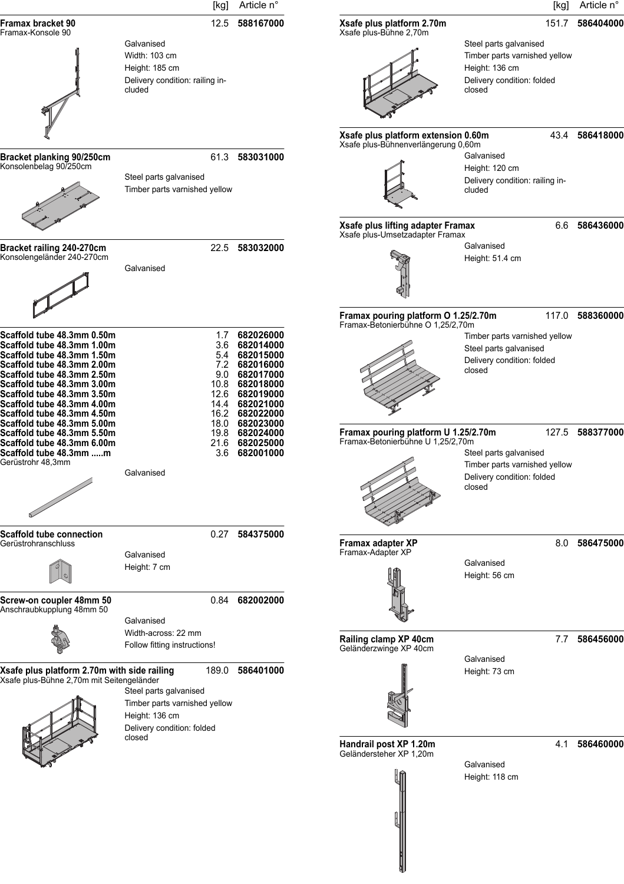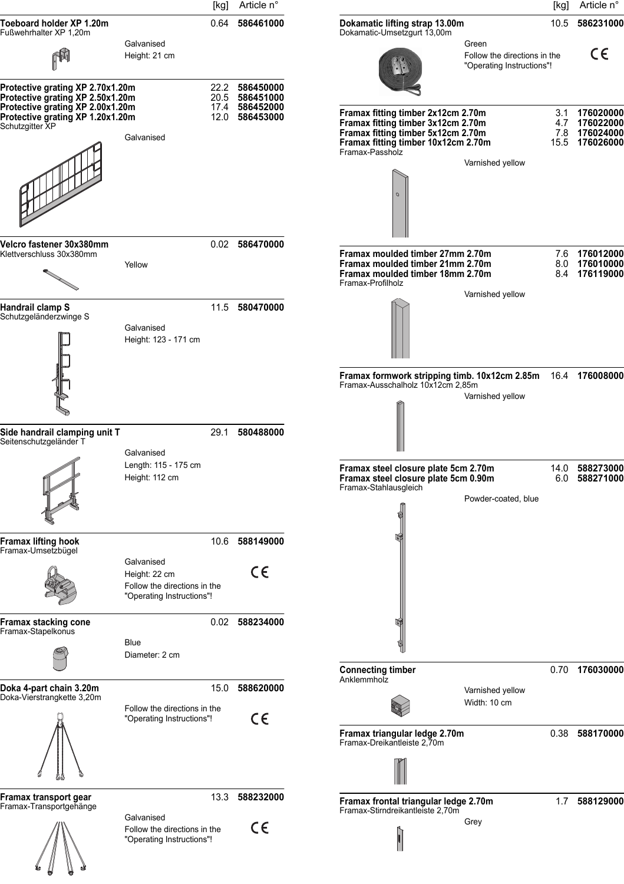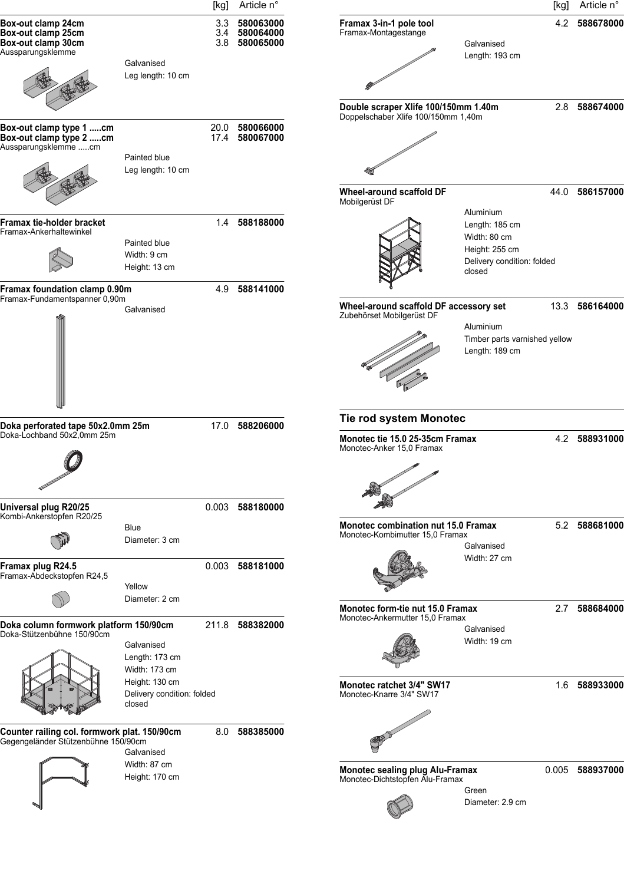|                                                                                     |                                                        | [kg] Article n°                                 |                                                                                        |                                                                                                       | [kg] | Article n°      |
|-------------------------------------------------------------------------------------|--------------------------------------------------------|-------------------------------------------------|----------------------------------------------------------------------------------------|-------------------------------------------------------------------------------------------------------|------|-----------------|
| Box-out clamp 24cm<br>Box-out clamp 25cm<br>Box-out clamp 30cm<br>Aussparungsklemme |                                                        | 3.3 580063000<br>3.4 580064000<br>3.8 580065000 | Framax 3-in-1 pole tool<br>Framax-Montagestange                                        | Galvanised<br>Length: 193 cm                                                                          |      | 4.2 588678000   |
|                                                                                     | Galvanised<br>Leg length: 10 cm                        |                                                 | Double scraper Xlife 100/150mm 1.40m                                                   |                                                                                                       |      | 2.8 588674000   |
| Box-out clamp type 1 cm<br>Box-out clamp type 2 cm<br>Aussparungsklemme cm          | Painted blue                                           | 20.0 580066000<br>17.4 580067000                | Doppelschaber Xlife 100/150mm 1,40m                                                    |                                                                                                       |      |                 |
|                                                                                     | Leg length: 10 cm                                      |                                                 | Wheel-around scaffold DF<br>Mobilgerüst DF                                             |                                                                                                       | 44.0 | 586157000       |
| Framax tie-holder bracket<br>Framax-Ankerhaltewinkel                                | Painted blue<br>Width: 9 cm<br>Height: 13 cm           | 1.4 588188000                                   |                                                                                        | Aluminium<br>Length: 185 cm<br>Width: 80 cm<br>Height: 255 cm<br>Delivery condition: folded<br>closed |      |                 |
| Framax foundation clamp 0.90m<br>Framax-Fundamentspanner 0,90m                      | Galvanised                                             | 4.9 588141000                                   | Wheel-around scaffold DF accessory set<br>Zubehörset Mobilgerüst DF                    | Aluminium<br>Timber parts varnished yellow<br>Length: 189 cm                                          |      | 13.3 586164000  |
| Doka perforated tape 50x2.0mm 25m<br>Doka-Lochband 50x2,0mm 25m                     |                                                        | 17.0 588206000                                  | Tie rod system Monotec<br>Monotec tie 15.0 25-35cm Framax<br>Monotec-Anker 15,0 Framax |                                                                                                       |      | 4.2 588931000   |
| Universal plug R20/25<br>Kombi-Ankerstopfen R20/25                                  | <b>Blue</b><br>Diameter: 3 cm                          | 0.003 588180000                                 | <b>Monotec combination nut 15.0 Framax</b><br>Monotec-Kombimutter 15,0 Framax          | Galvanised                                                                                            |      | 5.2 588681000   |
| Framax plug R24.5<br>Framax-Abdeckstopfen R24,5                                     | Yellow<br>Diameter: 2 cm                               | 0.003 588181000                                 |                                                                                        | Width: 27 cm                                                                                          |      |                 |
| Doka column formwork platform 150/90cm<br>Doka-Stützenbühne 150/90cm                | Galvanised<br>Length: 173 cm<br>Width: 173 cm          | 211.8 588382000                                 | Monotec form-tie nut 15.0 Framax<br>Monotec-Ankermutter 15,0 Framax                    | Galvanised<br>Width: 19 cm                                                                            |      | 2.7 588684000   |
|                                                                                     | Height: 130 cm<br>Delivery condition: folded<br>closed |                                                 | Monotec ratchet 3/4" SW17<br>Monotec-Knarre 3/4" SW17                                  |                                                                                                       |      | 1.6 588933000   |
| Counter railing col. formwork plat. 150/90cm<br>Gegengeländer Stützenbühne 150/90cm | Galvanised                                             | 8.0 588385000                                   |                                                                                        |                                                                                                       |      |                 |
|                                                                                     | Width: 87 cm<br>Height: 170 cm                         |                                                 | <b>Monotec sealing plug Alu-Framax</b><br>Monotec-Dichtstopfen Alu-Framax              | Green<br>Diameter: 2.9 cm                                                                             |      | 0.005 588937000 |
|                                                                                     |                                                        |                                                 |                                                                                        |                                                                                                       |      |                 |